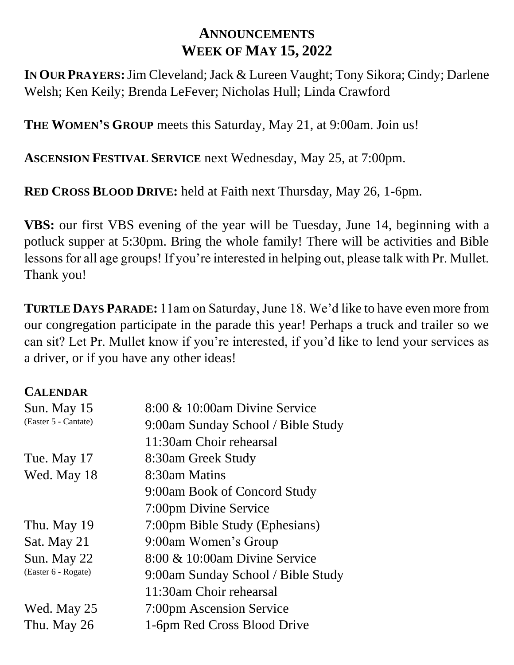## **ANNOUNCEMENTS WEEK OF MAY 15, 2022**

**IN OUR PRAYERS:**Jim Cleveland; Jack & Lureen Vaught; Tony Sikora; Cindy; Darlene Welsh; Ken Keily; Brenda LeFever; Nicholas Hull; Linda Crawford

**THE WOMEN'S GROUP** meets this Saturday, May 21, at 9:00am. Join us!

**ASCENSION FESTIVAL SERVICE** next Wednesday, May 25, at 7:00pm.

**RED CROSS BLOOD DRIVE:** held at Faith next Thursday, May 26, 1-6pm.

**VBS:** our first VBS evening of the year will be Tuesday, June 14, beginning with a potluck supper at 5:30pm. Bring the whole family! There will be activities and Bible lessons for all age groups! If you're interested in helping out, please talk with Pr. Mullet. Thank you!

**TURTLE DAYS PARADE:** 11am on Saturday, June 18. We'd like to have even more from our congregation participate in the parade this year! Perhaps a truck and trailer so we can sit? Let Pr. Mullet know if you're interested, if you'd like to lend your services as a driver, or if you have any other ideas!

## **CALENDAR**

| Sun. May 15          | 8:00 & 10:00am Divine Service      |
|----------------------|------------------------------------|
| (Easter 5 - Cantate) | 9:00am Sunday School / Bible Study |
|                      | 11:30am Choir rehearsal            |
| Tue. May 17          | 8:30am Greek Study                 |
| Wed. May 18          | 8:30am Matins                      |
|                      | 9:00am Book of Concord Study       |
|                      | 7:00pm Divine Service              |
| Thu. May 19          | 7:00pm Bible Study (Ephesians)     |
| Sat. May 21          | 9:00am Women's Group               |
| Sun. May 22          | 8:00 & 10:00am Divine Service      |
| (Easter 6 - Rogate)  | 9:00am Sunday School / Bible Study |
|                      | 11:30am Choir rehearsal            |
| Wed. May 25          | 7:00pm Ascension Service           |
| Thu. May 26          | 1-6pm Red Cross Blood Drive        |